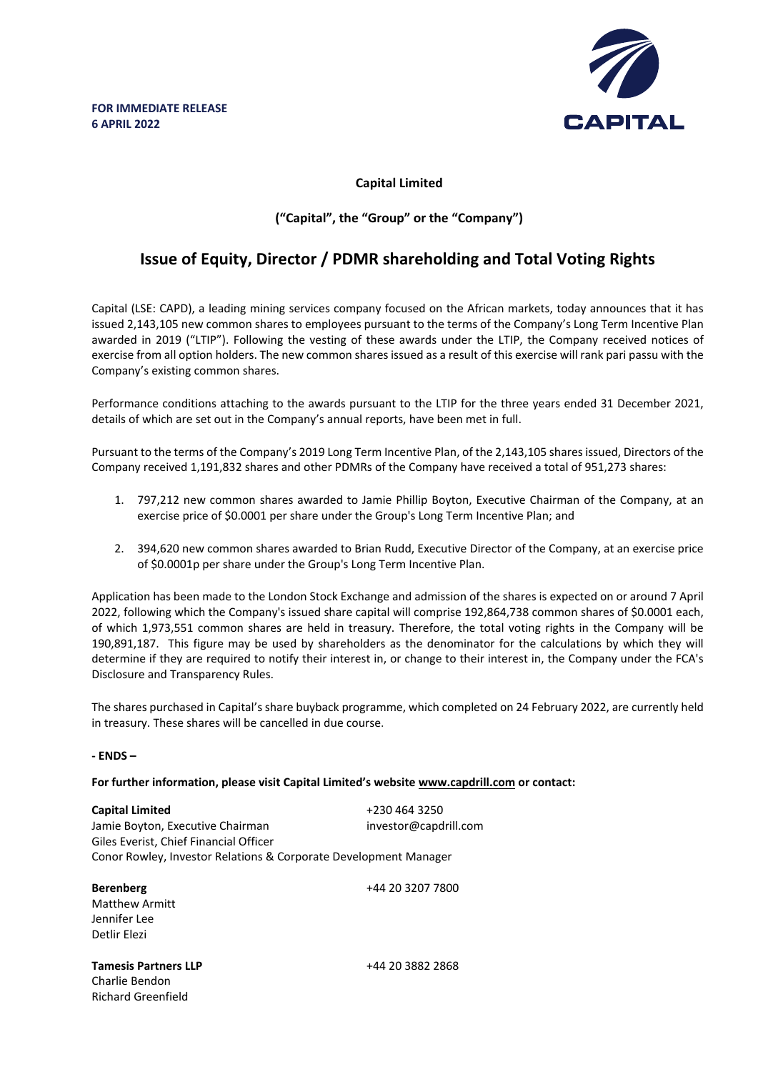

## **Capital Limited**

## **("Capital", the "Group" or the "Company")**

# **Issue of Equity, Director / PDMR shareholding and Total Voting Rights**

Capital (LSE: CAPD), a leading mining services company focused on the African markets, today announces that it has issued 2,143,105 new common shares to employees pursuant to the terms of the Company's Long Term Incentive Plan awarded in 2019 ("LTIP"). Following the vesting of these awards under the LTIP, the Company received notices of exercise from all option holders. The new common shares issued as a result of this exercise will rank pari passu with the Company's existing common shares.

Performance conditions attaching to the awards pursuant to the LTIP for the three years ended 31 December 2021, details of which are set out in the Company's annual reports, have been met in full.

Pursuant to the terms of the Company's 2019 Long Term Incentive Plan, of the 2,143,105 shares issued, Directors of the Company received 1,191,832 shares and other PDMRs of the Company have received a total of 951,273 shares:

- 1. 797,212 new common shares awarded to Jamie Phillip Boyton, Executive Chairman of the Company, at an exercise price of \$0.0001 per share under the Group's Long Term Incentive Plan; and
- 2. 394,620 new common shares awarded to Brian Rudd, Executive Director of the Company, at an exercise price of \$0.0001p per share under the Group's Long Term Incentive Plan.

Application has been made to the London Stock Exchange and admission of the shares is expected on or around 7 April 2022, following which the Company's issued share capital will comprise 192,864,738 common shares of \$0.0001 each, of which 1,973,551 common shares are held in treasury. Therefore, the total voting rights in the Company will be 190,891,187. This figure may be used by shareholders as the denominator for the calculations by which they will determine if they are required to notify their interest in, or change to their interest in, the Company under the FCA's Disclosure and Transparency Rules.

The shares purchased in Capital's share buyback programme, which completed on 24 February 2022, are currently held in treasury. These shares will be cancelled in due course.

### **- ENDS –**

**For further information, please visit Capital Limited's website www.capdrill.com or contact:**

| <b>Capital Limited</b><br>Jamie Boyton, Executive Chairman<br>Giles Everist, Chief Financial Officer<br>Conor Rowley, Investor Relations & Corporate Development Manager | +230 464 3250<br>investor@capdrill.com |
|--------------------------------------------------------------------------------------------------------------------------------------------------------------------------|----------------------------------------|
| <b>Berenberg</b><br><b>Matthew Armitt</b><br>Jennifer Lee<br>Detlir Flezi                                                                                                | +44 20 3207 7800                       |
| <b>Tamesis Partners LLP</b><br>Charlie Bendon<br><b>Richard Greenfield</b>                                                                                               | +44 20 3882 2868                       |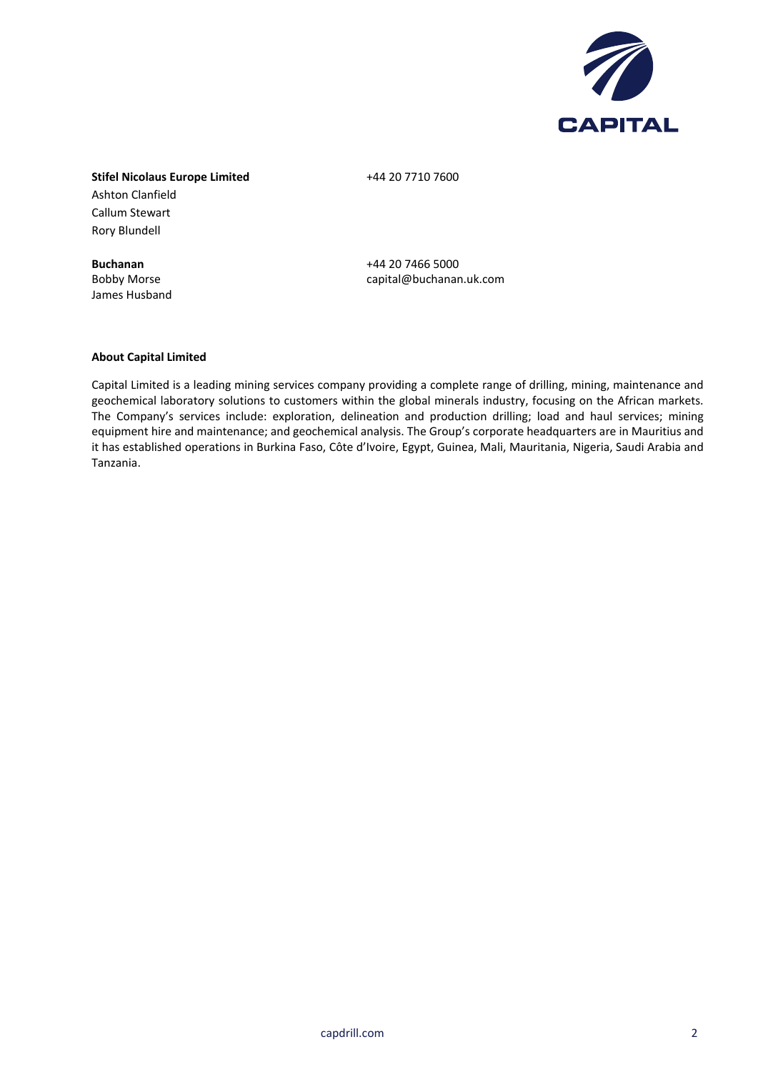

## **Stifel Nicolaus Europe Limited** +44 20 7710 7600 Ashton Clanfield Callum Stewart Rory Blundell

James Husband

**Buchanan** +44 20 7466 5000 Bobby Morse capital@buchanan.uk.com

#### **About Capital Limited**

Capital Limited is a leading mining services company providing a complete range of drilling, mining, maintenance and geochemical laboratory solutions to customers within the global minerals industry, focusing on the African markets. The Company's services include: exploration, delineation and production drilling; load and haul services; mining equipment hire and maintenance; and geochemical analysis. The Group's corporate headquarters are in Mauritius and it has established operations in Burkina Faso, Côte d'Ivoire, Egypt, Guinea, Mali, Mauritania, Nigeria, Saudi Arabia and Tanzania.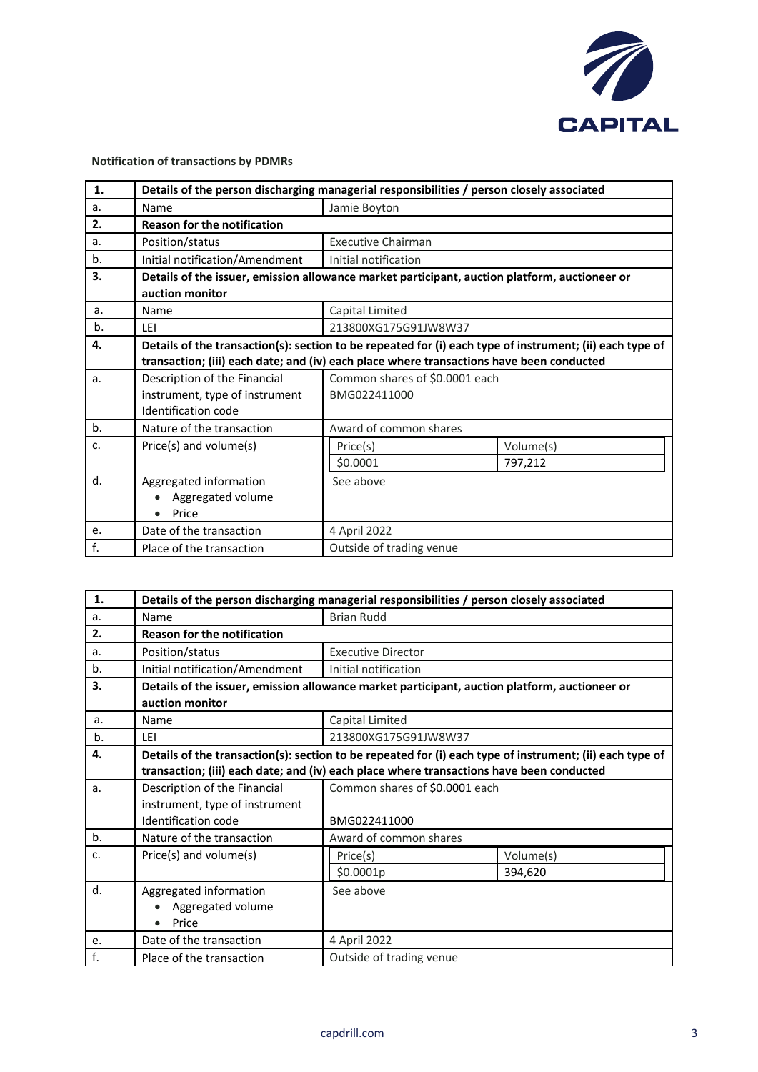

## **Notification of transactions by PDMRs**

| 1.             | Details of the person discharging managerial responsibilities / person closely associated |                                                                                                          |           |  |
|----------------|-------------------------------------------------------------------------------------------|----------------------------------------------------------------------------------------------------------|-----------|--|
| a.             | Name                                                                                      | Jamie Boyton                                                                                             |           |  |
| 2.             | <b>Reason for the notification</b>                                                        |                                                                                                          |           |  |
| a.             | Position/status                                                                           | <b>Executive Chairman</b>                                                                                |           |  |
| b.             | Initial notification/Amendment                                                            | Initial notification                                                                                     |           |  |
| 3.             |                                                                                           | Details of the issuer, emission allowance market participant, auction platform, auctioneer or            |           |  |
|                | auction monitor                                                                           |                                                                                                          |           |  |
| a.             | Name                                                                                      | Capital Limited                                                                                          |           |  |
| b.             | LEI                                                                                       | 213800XG175G91JW8W37                                                                                     |           |  |
| 4.             |                                                                                           | Details of the transaction(s): section to be repeated for (i) each type of instrument; (ii) each type of |           |  |
|                |                                                                                           | transaction; (iii) each date; and (iv) each place where transactions have been conducted                 |           |  |
| a.             | Description of the Financial                                                              | Common shares of \$0.0001 each                                                                           |           |  |
|                | instrument, type of instrument                                                            | BMG022411000                                                                                             |           |  |
|                | Identification code                                                                       |                                                                                                          |           |  |
| b <sub>1</sub> | Nature of the transaction                                                                 | Award of common shares                                                                                   |           |  |
| c.             | Price(s) and volume(s)                                                                    | Price(s)                                                                                                 | Volume(s) |  |
|                |                                                                                           | \$0.0001                                                                                                 | 797,212   |  |
| d.             | Aggregated information                                                                    | See above                                                                                                |           |  |
|                | Aggregated volume                                                                         |                                                                                                          |           |  |
|                | Price                                                                                     |                                                                                                          |           |  |
| e.             | Date of the transaction                                                                   | 4 April 2022                                                                                             |           |  |
| f.             | Place of the transaction                                                                  | Outside of trading venue                                                                                 |           |  |

| 1.    | Details of the person discharging managerial responsibilities / person closely associated                |                                                                                               |           |  |
|-------|----------------------------------------------------------------------------------------------------------|-----------------------------------------------------------------------------------------------|-----------|--|
| a.    | Name                                                                                                     | <b>Brian Rudd</b>                                                                             |           |  |
| 2.    | <b>Reason for the notification</b>                                                                       |                                                                                               |           |  |
| a.    | Position/status                                                                                          | <b>Executive Director</b>                                                                     |           |  |
| b.    | Initial notification/Amendment                                                                           | Initial notification                                                                          |           |  |
| 3.    |                                                                                                          | Details of the issuer, emission allowance market participant, auction platform, auctioneer or |           |  |
|       | auction monitor                                                                                          |                                                                                               |           |  |
| a.    | Name                                                                                                     | Capital Limited                                                                               |           |  |
| b.    | I FI                                                                                                     | 213800XG175G91JW8W37                                                                          |           |  |
| 4.    | Details of the transaction(s): section to be repeated for (i) each type of instrument; (ii) each type of |                                                                                               |           |  |
|       |                                                                                                          | transaction; (iii) each date; and (iv) each place where transactions have been conducted      |           |  |
| a.    | Description of the Financial                                                                             | Common shares of \$0.0001 each                                                                |           |  |
|       | instrument, type of instrument                                                                           |                                                                                               |           |  |
|       | Identification code                                                                                      | BMG022411000                                                                                  |           |  |
| $b$ . | Nature of the transaction                                                                                | Award of common shares                                                                        |           |  |
| c.    | Price(s) and volume(s)                                                                                   | Price(s)                                                                                      | Volume(s) |  |
|       |                                                                                                          | \$0.0001p                                                                                     | 394,620   |  |
| d.    | Aggregated information                                                                                   | See above                                                                                     |           |  |
|       | Aggregated volume                                                                                        |                                                                                               |           |  |
|       | Price<br>$\bullet$                                                                                       |                                                                                               |           |  |
| e.    | Date of the transaction                                                                                  | 4 April 2022                                                                                  |           |  |
| f.    | Place of the transaction                                                                                 | Outside of trading venue                                                                      |           |  |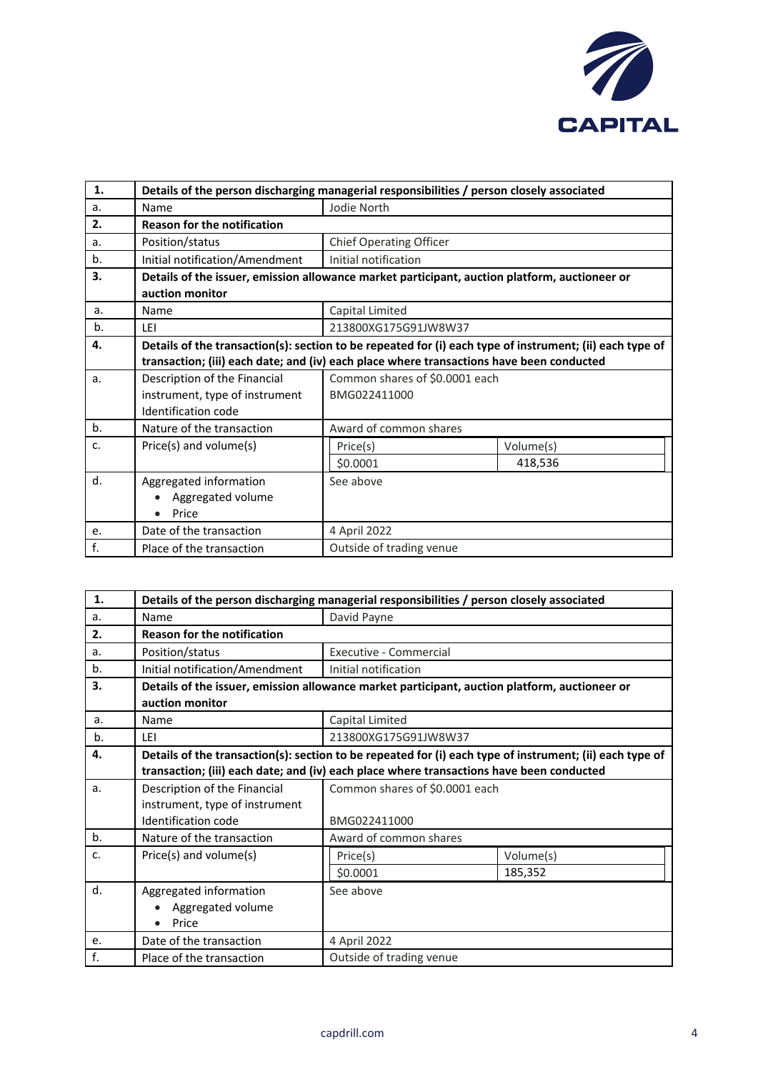

| 1.             | Details of the person discharging managerial responsibilities / person closely associated                        |                                |           |  |
|----------------|------------------------------------------------------------------------------------------------------------------|--------------------------------|-----------|--|
| a.             | Name                                                                                                             | Jodie North                    |           |  |
| 2.             | <b>Reason for the notification</b>                                                                               |                                |           |  |
| a.             | Position/status                                                                                                  | <b>Chief Operating Officer</b> |           |  |
| b.             | Initial notification/Amendment                                                                                   | Initial notification           |           |  |
| 3.             | Details of the issuer, emission allowance market participant, auction platform, auctioneer or<br>auction monitor |                                |           |  |
| a.             | Name                                                                                                             | Capital Limited                |           |  |
| b.             | LEI                                                                                                              | 213800XG175G91JW8W37           |           |  |
| 4.             | Details of the transaction(s): section to be repeated for (i) each type of instrument; (ii) each type of         |                                |           |  |
|                | transaction; (iii) each date; and (iv) each place where transactions have been conducted                         |                                |           |  |
| a.             | Description of the Financial                                                                                     | Common shares of \$0.0001 each |           |  |
|                | instrument, type of instrument                                                                                   | BMG022411000                   |           |  |
|                | Identification code                                                                                              |                                |           |  |
| b <sub>1</sub> | Nature of the transaction                                                                                        | Award of common shares         |           |  |
| c.             | Price(s) and volume(s)                                                                                           | Price(s)                       | Volume(s) |  |
|                |                                                                                                                  | \$0.0001                       | 418,536   |  |
| d.             | Aggregated information                                                                                           | See above                      |           |  |
|                | Aggregated volume                                                                                                |                                |           |  |
|                | Price                                                                                                            |                                |           |  |
| e.             | Date of the transaction                                                                                          | 4 April 2022                   |           |  |
| f.             | Place of the transaction                                                                                         | Outside of trading venue       |           |  |

| 1.             | Details of the person discharging managerial responsibilities / person closely associated                                                                                                            |                                                |                      |  |
|----------------|------------------------------------------------------------------------------------------------------------------------------------------------------------------------------------------------------|------------------------------------------------|----------------------|--|
| a.             | Name                                                                                                                                                                                                 | David Payne                                    |                      |  |
| 2.             | <b>Reason for the notification</b>                                                                                                                                                                   |                                                |                      |  |
| a.             | Position/status                                                                                                                                                                                      | Executive - Commercial                         |                      |  |
| b.             | Initial notification/Amendment                                                                                                                                                                       | Initial notification                           |                      |  |
| 3.             | Details of the issuer, emission allowance market participant, auction platform, auctioneer or<br>auction monitor                                                                                     |                                                |                      |  |
| a.             | Name                                                                                                                                                                                                 | Capital Limited                                |                      |  |
| b.             | LEI                                                                                                                                                                                                  | 213800XG175G91JW8W37                           |                      |  |
| 4.             | Details of the transaction(s): section to be repeated for (i) each type of instrument; (ii) each type of<br>transaction; (iii) each date; and (iv) each place where transactions have been conducted |                                                |                      |  |
| a <sub>r</sub> | Description of the Financial<br>instrument, type of instrument<br>Identification code                                                                                                                | Common shares of \$0.0001 each<br>BMG022411000 |                      |  |
| $b$ .          | Nature of the transaction                                                                                                                                                                            | Award of common shares                         |                      |  |
| c.             | Price(s) and volume(s)                                                                                                                                                                               | Price(s)<br>\$0.0001                           | Volume(s)<br>185,352 |  |
| d.             | Aggregated information<br>Aggregated volume<br>Price<br>$\bullet$                                                                                                                                    | See above                                      |                      |  |
| e.             | Date of the transaction                                                                                                                                                                              | 4 April 2022                                   |                      |  |
| f.             | Place of the transaction                                                                                                                                                                             | Outside of trading venue                       |                      |  |